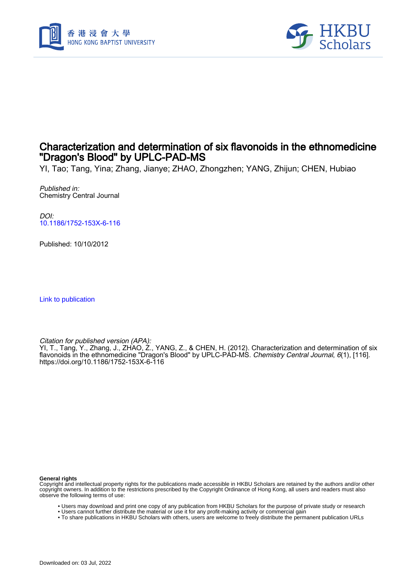



# Characterization and determination of six flavonoids in the ethnomedicine "Dragon's Blood" by UPLC-PAD-MS

YI, Tao; Tang, Yina; Zhang, Jianye; ZHAO, Zhongzhen; YANG, Zhijun; CHEN, Hubiao

Published in: Chemistry Central Journal

DOI: [10.1186/1752-153X-6-116](https://doi.org/10.1186/1752-153X-6-116)

Published: 10/10/2012

[Link to publication](https://scholars.hkbu.edu.hk/en/publications/abce33bd-387e-4955-89bb-2def3c22453d)

Citation for published version (APA):

YI, T., Tang, Y., Zhang, J., ZHAO, Z., YANG, Z., & CHEN, H. (2012). Characterization and determination of six flavonoids in the ethnomedicine "Dragon's Blood" by UPLC-PAD-MS. *Chemistry Central Journal, 6*(1), [116]. <https://doi.org/10.1186/1752-153X-6-116>

**General rights**

Copyright and intellectual property rights for the publications made accessible in HKBU Scholars are retained by the authors and/or other copyright owners. In addition to the restrictions prescribed by the Copyright Ordinance of Hong Kong, all users and readers must also observe the following terms of use:

- Users may download and print one copy of any publication from HKBU Scholars for the purpose of private study or research
- Users cannot further distribute the material or use it for any profit-making activity or commercial gain
- To share publications in HKBU Scholars with others, users are welcome to freely distribute the permanent publication URLs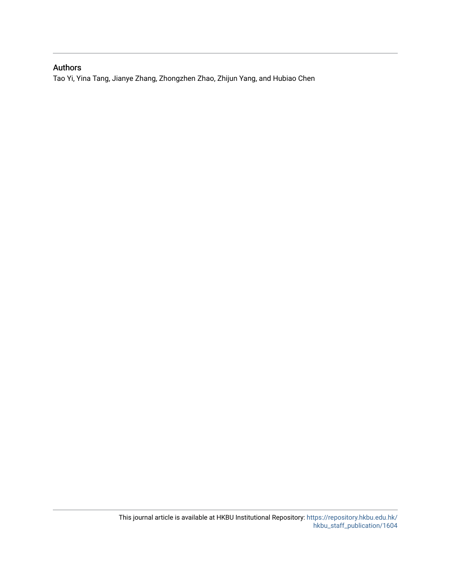# Authors

Tao Yi, Yina Tang, Jianye Zhang, Zhongzhen Zhao, Zhijun Yang, and Hubiao Chen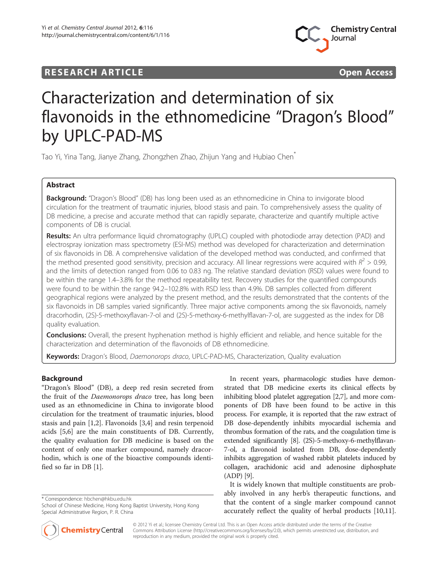# **RESEARCH ARTICLE Example 2008 CONSIDERED ACCESS**



# Characterization and determination of six flavonoids in the ethnomedicine "Dragon's Blood" by UPLC-PAD-MS

Tao Yi, Yina Tang, Jianye Zhang, Zhongzhen Zhao, Zhijun Yang and Hubiao Chen\*

# Abstract

Background: "Dragon's Blood" (DB) has long been used as an ethnomedicine in China to invigorate blood circulation for the treatment of traumatic injuries, blood stasis and pain. To comprehensively assess the quality of DB medicine, a precise and accurate method that can rapidly separate, characterize and quantify multiple active components of DB is crucial.

Results: An ultra performance liquid chromatography (UPLC) coupled with photodiode array detection (PAD) and electrospray ionization mass spectrometry (ESI-MS) method was developed for characterization and determination of six flavonoids in DB. A comprehensive validation of the developed method was conducted, and confirmed that the method presented good sensitivity, precision and accuracy. All linear regressions were acquired with  $R^2 > 0.99$ , and the limits of detection ranged from 0.06 to 0.83 ng. The relative standard deviation (RSD) values were found to be within the range 1.4–3.8% for the method repeatability test. Recovery studies for the quantified compounds were found to be within the range 94.2–102.8% with RSD less than 4.9%. DB samples collected from different geographical regions were analyzed by the present method, and the results demonstrated that the contents of the six flavonoids in DB samples varied significantly. Three major active components among the six flavonoids, namely dracorhodin, (2S)-5-methoxyflavan-7-ol and (2S)-5-methoxy-6-methylflavan-7-ol, are suggested as the index for DB quality evaluation.

Conclusions: Overall, the present hyphenation method is highly efficient and reliable, and hence suitable for the characterization and determination of the flavonoids of DB ethnomedicine.

Keywords: Dragon's Blood, Daemonorops draco, UPLC-PAD-MS, Characterization, Quality evaluation

# Background

"Dragon's Blood" (DB), a deep red resin secreted from the fruit of the Daemonorops draco tree, has long been used as an ethnomedicine in China to invigorate blood circulation for the treatment of traumatic injuries, blood stasis and pain [1,2]. Flavonoids [3,4] and resin terpenoid acids [5,6] are the main constituents of DB. Currently, the quality evaluation for DB medicine is based on the content of only one marker compound, namely dracorhodin, which is one of the bioactive compounds identified so far in DB [1].

\* Correspondence: [hbchen@hkbu.edu.hk](mailto:hbchen@hkbu.edu.hk)

In recent years, pharmacologic studies have demonstrated that DB medicine exerts its clinical effects by inhibiting blood platelet aggregation [2,7], and more components of DB have been found to be active in this process. For example, it is reported that the raw extract of DB dose-dependently inhibits myocardial ischemia and thrombus formation of the rats, and the coagulation time is extended significantly [8]. (2S)-5-methoxy-6-methylflavan-7-ol, a flavonoid isolated from DB, dose-dependently inhibits aggregation of washed rabbit platelets induced by collagen, arachidonic acid and adenosine diphosphate (ADP) [9].

It is widely known that multiple constituents are probably involved in any herb's therapeutic functions, and that the content of a single marker compound cannot accurately reflect the quality of herbal products [10,11].



© 2012 Yi et al.; licensee Chemistry Central Ltd. This is an Open Access article distributed under the terms of the Creative Commons Attribution License (<http://creativecommons.org/licenses/by/2.0>), which permits unrestricted use, distribution, and reproduction in any medium, provided the original work is properly cited.

School of Chinese Medicine, Hong Kong Baptist University, Hong Kong Special Administrative Region, P. R. China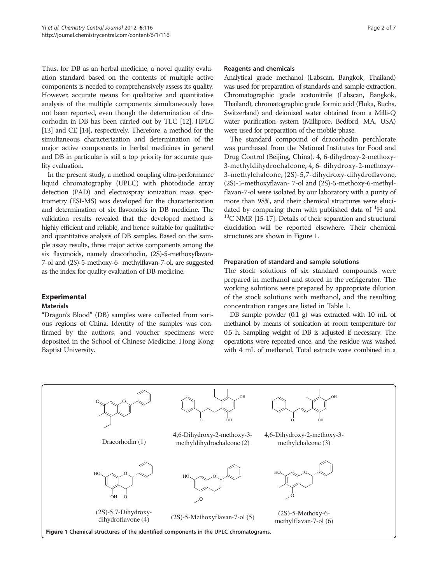Thus, for DB as an herbal medicine, a novel quality evaluation standard based on the contents of multiple active components is needed to comprehensively assess its quality. However, accurate means for qualitative and quantitative analysis of the multiple components simultaneously have not been reported, even though the determination of dracorhodin in DB has been carried out by TLC [12], HPLC [13] and CE [14], respectively. Therefore, a method for the simultaneous characterization and determination of the major active components in herbal medicines in general and DB in particular is still a top priority for accurate quality evaluation.

In the present study, a method coupling ultra-performance liquid chromatography (UPLC) with photodiode array detection (PAD) and electrospray ionization mass spectrometry (ESI-MS) was developed for the characterization and determination of six flavonoids in DB medicine. The validation results revealed that the developed method is highly efficient and reliable, and hence suitable for qualitative and quantitative analysis of DB samples. Based on the sample assay results, three major active components among the six flavonoids, namely dracorhodin, (2S)-5-methoxyflavan-7-ol and (2S)-5-methoxy-6- methylflavan-7-ol, are suggested as the index for quality evaluation of DB medicine.

# Experimental

# Materials

"Dragon's Blood" (DB) samples were collected from various regions of China. Identity of the samples was confirmed by the authors, and voucher specimens were deposited in the School of Chinese Medicine, Hong Kong Baptist University.

## Reagents and chemicals

Analytical grade methanol (Labscan, Bangkok, Thailand) was used for preparation of standards and sample extraction. Chromatographic grade acetonitrile (Labscan, Bangkok, Thailand), chromatographic grade formic acid (Fluka, Buchs, Switzerland) and deionized water obtained from a Milli-Q water purification system (Millipore, Bedford, MA, USA) were used for preparation of the mobile phase.

The standard compound of dracorhodin perchlorate was purchased from the National Institutes for Food and Drug Control (Beijing, China). 4, 6-dihydroxy-2-methoxy-3-methyldihydrochalcone, 4, 6- dihydroxy-2-methoxyv-3-methylchalcone, (2S)-5,7-dihydroxy-dihydroflavone, (2S)-5-methoxyflavan- 7-ol and (2S)-5-methoxy-6-methylflavan-7-ol were isolated by our laboratory with a purity of more than 98%, and their chemical structures were elucidated by comparing them with published data of  ${}^{1}H$  and  ${}^{13}$ C NMR [15-17]. Details of their separation and structural elucidation will be reported elsewhere. Their chemical structures are shown in Figure 1.

## Preparation of standard and sample solutions

The stock solutions of six standard compounds were prepared in methanol and stored in the refrigerator. The working solutions were prepared by appropriate dilution of the stock solutions with methanol, and the resulting concentration ranges are listed in Table 1.

DB sample powder (0.1 g) was extracted with 10 mL of methanol by means of sonication at room temperature for 0.5 h. Sampling weight of DB is adjusted if necessary. The operations were repeated once, and the residue was washed with 4 mL of methanol. Total extracts were combined in a

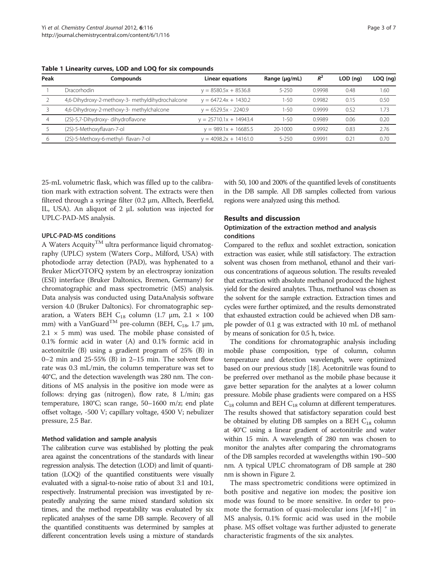| Peak | <b>Compounds</b>                                 | <b>Linear equations</b>  | Range $(\mu q/ml)$ | $R^2$  | $LOD$ (ng) | $LOQ$ (ng) |
|------|--------------------------------------------------|--------------------------|--------------------|--------|------------|------------|
|      | Dracorhodin                                      | $y = 8580.5x + 8536.8$   | $5 - 250$          | 0.9998 | 0.48       | 1.60       |
|      | 4,6-Dihydroxy-2-methoxy-3- methyldihydrochalcone | $y = 6472.4x + 1430.2$   | 1-50               | 0.9982 | 0.15       | 0.50       |
|      | 4,6-Dihydroxy-2-methoxy-3- methylchalcone        | $y = 6529.5x - 2240.9$   | 1-50               | 0.9999 | 0.52       | .73        |
| 4    | (2S)-5,7-Dihydroxy-dihydroflavone                | $y = 25710.1x + 14943.4$ | 1-50               | 0.9989 | 0.06       | 0.20       |
|      | (2S)-5-Methoxyflavan-7-ol                        | $y = 989.1x + 16685.5$   | 20-1000            | 0.9992 | 0.83       | 2.76       |
| 6    | (2S)-5-Methoxy-6-methyl- flavan-7-ol             | $y = 4098.2x + 14161.0$  | $5 - 250$          | 0.9991 | 0.21       | 0.70       |

Table 1 Linearity curves, LOD and LOQ for six compounds

25-mL volumetric flask, which was filled up to the calibration mark with extraction solvent. The extracts were then filtered through a syringe filter (0.2 μm, Alltech, Beerfield, IL, USA). An aliquot of 2 μL solution was injected for UPLC-PAD-MS analysis.

## UPLC-PAD-MS conditions

A Waters  $\mbox{Acquity}^{\mbox{{\tiny TM}}}$ ultra performance liquid chromatography (UPLC) system (Waters Corp., Milford, USA) with photodiode array detection (PAD), was hyphenated to a Bruker MicrOTOFQ system by an electrospray ionization (ESI) interface (Bruker Daltonics, Bremen, Germany) for chromatographic and mass spectrometric (MS) analysis. Data analysis was conducted using DataAnalysis software version 4.0 (Bruker Daltonics). For chromatographic separation, a Waters BEH C<sub>18</sub> column (1.7 μm, 2.1 × 100 mm) with a VanGuard<sup>TM</sup> pre-column (BEH,  $C_{18}$ , 1.7 µm,  $2.1 \times 5$  mm) was used. The mobile phase consisted of 0.1% formic acid in water (A) and 0.1% formic acid in acetonitrile (B) using a gradient program of 25% (B) in 0–2 min and 25-55% (B) in 2–15 min. The solvent flow rate was 0.3 mL/min, the column temperature was set to 40°C, and the detection wavelength was 280 nm. The conditions of MS analysis in the positive ion mode were as follows: drying gas (nitrogen), flow rate, 8 L/min; gas temperature, 180°C; scan range, 50–1600 m/z; end plate offset voltage, -500 V; capillary voltage, 4500 V; nebulizer pressure, 2.5 Bar.

#### Method validation and sample analysis

The calibration curve was established by plotting the peak area against the concentrations of the standards with linear regression analysis. The detection (LOD) and limit of quantitation (LOQ) of the quantified constituents were visually evaluated with a signal-to-noise ratio of about 3:1 and 10:1, respectively. Instrumental precision was investigated by repeatedly analyzing the same mixed standard solution six times, and the method repeatability was evaluated by six replicated analyses of the same DB sample. Recovery of all the quantified constituents was determined by samples at different concentration levels using a mixture of standards with 50, 100 and 200% of the quantified levels of constituents in the DB sample. All DB samples collected from various regions were analyzed using this method.

## Results and discussion

# Optimization of the extraction method and analysis conditions

Compared to the reflux and soxhlet extraction, sonication extraction was easier, while still satisfactory. The extraction solvent was chosen from methanol, ethanol and their various concentrations of aqueous solution. The results revealed that extraction with absolute methanol produced the highest yield for the desired analytes. Thus, methanol was chosen as the solvent for the sample extraction. Extraction times and cycles were further optimized, and the results demonstrated that exhausted extraction could be achieved when DB sample powder of 0.1 g was extracted with 10 mL of methanol by means of sonication for 0.5 h, twice.

The conditions for chromatographic analysis including mobile phase composition, type of column, column temperature and detection wavelength, were optimized based on our previous study [18]. Acetonitrile was found to be preferred over methanol as the mobile phase because it gave better separation for the analytes at a lower column pressure. Mobile phase gradients were compared on a HSS  $C_{18}$  column and BEH  $C_{18}$  column at different temperatures. The results showed that satisfactory separation could best be obtained by eluting DB samples on a BEH  $C_{18}$  column at 40°C using a linear gradient of acetonitrile and water within 15 min. A wavelength of 280 nm was chosen to monitor the analytes after comparing the chromatograms of the DB samples recorded at wavelengths within 190–500 nm. A typical UPLC chromatogram of DB sample at 280 nm is shown in Figure 2.

The mass spectrometric conditions were optimized in both positive and negative ion modes; the positive ion mode was found to be more sensitive. In order to promote the formation of quasi-molecular ions  $[M+H]$  <sup>+</sup> in MS analysis, 0.1% formic acid was used in the mobile phase. MS offset voltage was further adjusted to generate characteristic fragments of the six analytes.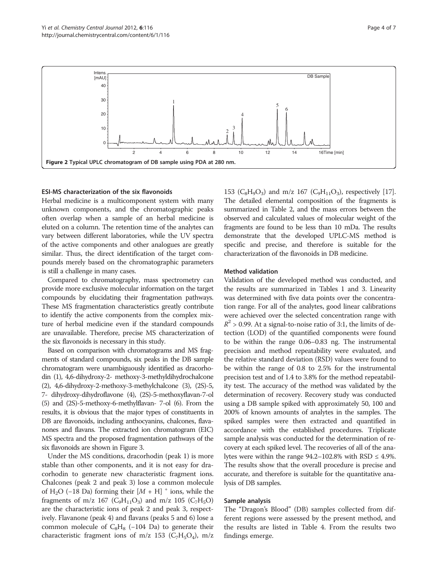

#### ESI-MS characterization of the six flavonoids

Herbal medicine is a multicomponent system with many unknown components, and the chromatographic peaks often overlap when a sample of an herbal medicine is eluted on a column. The retention time of the analytes can vary between different laboratories, while the UV spectra of the active components and other analogues are greatly similar. Thus, the direct identification of the target compounds merely based on the chromatographic parameters is still a challenge in many cases.

Compared to chromatography, mass spectrometry can provide more exclusive molecular information on the target compounds by elucidating their fragmentation pathways. These MS fragmentation characteristics greatly contribute to identify the active components from the complex mixture of herbal medicine even if the standard compounds are unavailable. Therefore, precise MS characterization of the six flavonoids is necessary in this study.

Based on comparison with chromatograms and MS fragments of standard compounds, six peaks in the DB sample chromatogram were unambiguously identified as dracorhodin (1), 4,6-dihydroxy-2- methoxy-3-methyldihydrochalcone (2), 4,6-dihydroxy-2-methoxy-3-methylchalcone (3), (2S)-5, 7- dihydroxy-dihydroflavone (4), (2S)-5-methoxyflavan-7-ol (5) and (2S)-5-methoxy-6-methylflavan- 7-ol (6). From the results, it is obvious that the major types of constituents in DB are flavonoids, including anthocyanins, chalcones, flavanones and flavans. The extracted ion chromatogram (EIC) MS spectra and the proposed fragmentation pathways of the six flavonoids are shown in Figure 3.

Under the MS conditions, dracorhodin (peak 1) is more stable than other components, and it is not easy for dracorhodin to generate new characteristic fragment ions. Chalcones (peak 2 and peak 3) lose a common molecule of H<sub>2</sub>O (−18 Da) forming their  $[M + H]$  <sup>+</sup> ions, while the fragments of m/z 167 (C<sub>9</sub>H<sub>11</sub>O<sub>3</sub>) and m/z 105 (C<sub>7</sub>H<sub>5</sub>O) are the characteristic ions of peak 2 and peak 3, respectively. Flavanone (peak 4) and flavans (peaks 5 and 6) lose a common molecule of  $C_8H_8$  (−104 Da) to generate their characteristic fragment ions of m/z 153 ( $C_7H_5O_4$ ), m/z 153 ( $C_8H_9O_3$ ) and m/z 167 ( $C_9H_{11}O_3$ ), respectively [17]. The detailed elemental composition of the fragments is summarized in Table 2, and the mass errors between the observed and calculated values of molecular weight of the fragments are found to be less than 10 mDa. The results demonstrate that the developed UPLC-MS method is specific and precise, and therefore is suitable for the characterization of the flavonoids in DB medicine.

#### Method validation

Validation of the developed method was conducted, and the results are summarized in Tables 1 and 3. Linearity was determined with five data points over the concentration range. For all of the analytes, good linear calibrations were achieved over the selected concentration range with  $R^2$  > 0.99. At a signal-to-noise ratio of 3:1, the limits of detection (LOD) of the quantified components were found to be within the range 0.06–0.83 ng. The instrumental precision and method repeatability were evaluated, and the relative standard deviation (RSD) values were found to be within the range of 0.8 to 2.5% for the instrumental precision test and of 1.4 to 3.8% for the method repeatability test. The accuracy of the method was validated by the determination of recovery. Recovery study was conducted using a DB sample spiked with approximately 50, 100 and 200% of known amounts of analytes in the samples. The spiked samples were then extracted and quantified in accordance with the established procedures. Triplicate sample analysis was conducted for the determination of recovery at each spiked level. The recoveries of all of the analytes were within the range  $94.2-102.8\%$  with RSD  $\leq 4.9\%$ . The results show that the overall procedure is precise and accurate, and therefore is suitable for the quantitative analysis of DB samples.

#### Sample analysis

The "Dragon's Blood" (DB) samples collected from different regions were assessed by the present method, and the results are listed in Table 4. From the results two findings emerge.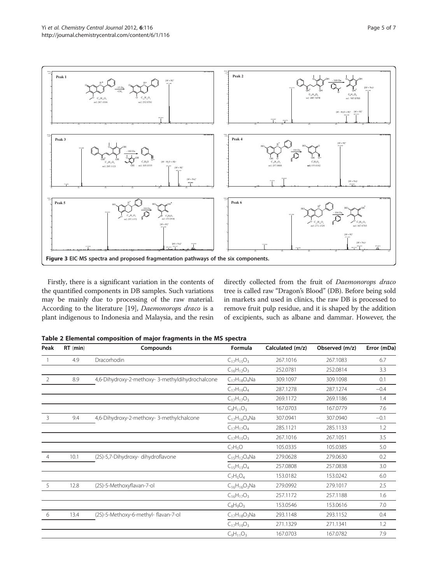

Firstly, there is a significant variation in the contents of the quantified components in DB samples. Such variations may be mainly due to processing of the raw material. According to the literature [19], Daemonorops draco is a plant indigenous to Indonesia and Malaysia, and the resin

directly collected from the fruit of Daemonorops draco tree is called raw "Dragon's Blood" (DB). Before being sold in markets and used in clinics, the raw DB is processed to remove fruit pulp residue, and it is shaped by the addition of excipients, such as albane and dammar. However, the

| Table 2 Elemental composition of major fragments in the MS spectra |  |  |
|--------------------------------------------------------------------|--|--|
|--------------------------------------------------------------------|--|--|

| Peak           | $RT$ (min) | Compounds                                        | Formula              | Calculated (m/z) | Observed (m/z) | Error (mDa) |
|----------------|------------|--------------------------------------------------|----------------------|------------------|----------------|-------------|
|                | 4.9        | Dracorhodin                                      | $C_{17}H_{15}O_3$    | 267.1016         | 267.1083       | 6.7         |
|                |            |                                                  | $C_{16}H_{12}O_3$    | 252.0781         | 252.0814       | 3.3         |
| 2              | 8.9        | 4,6-Dihydroxy-2-methoxy- 3-methyldihydrochalcone | $C_{17}H_{18}O_4$ Na | 309.1097         | 309.1098       | 0.1         |
|                |            |                                                  | $C_{17}H_{19}O_4$    | 287.1278         | 287.1274       | $-0.4$      |
|                |            |                                                  | $C_{17}H_{17}O_3$    | 269.1172         | 269.1186       | 1.4         |
|                |            |                                                  | $C_9H_{11}O_3$       | 167.0703         | 167.0779       | 7.6         |
| 3              | 9.4        | 4,6-Dihydroxy-2-methoxy- 3-methylchalcone        | $C_{17}H_{16}O_4$ Na | 307.0941         | 307.0940       | $-0.1$      |
|                |            |                                                  | $C_{17}H_{17}O_4$    | 285.1121         | 285.1133       | 1.2         |
|                |            |                                                  | $C_{17}H_{15}O_3$    | 267.1016         | 267.1051       | 3.5         |
|                |            |                                                  | $C_7H_5O$            | 105.0335         | 105.0385       | 5.0         |
| $\overline{4}$ | 10.1       | (2S)-5,7-Dihydroxy-dihydroflavone                | $C_{15}H_{12}O_4$ Na | 279.0628         | 279.0630       | 0.2         |
|                |            |                                                  | $C_{15}H_{13}O_4$    | 257,0808         | 257.0838       | 3.0         |
|                |            |                                                  | $C_7H_5O_4$          | 153.0182         | 153.0242       | 6.0         |
| 5              | 12.8       | (2S)-5-Methoxyflavan-7-ol                        | $C_{16}H_{16}O_3$ Na | 279.0992         | 279.1017       | 2.5         |
|                |            |                                                  | $C_{16}H_{17}O_3$    | 257.1172         | 257.1188       | 1.6         |
|                |            |                                                  | $C_8H_9O_3$          | 153.0546         | 153.0616       | 7.0         |
| 6              | 13.4       | (2S)-5-Methoxy-6-methyl- flavan-7-ol             | $C_{17}H_{18}O_3$ Na | 293.1148         | 293.1152       | 0.4         |
|                |            |                                                  | $C_{17}H_{19}O_3$    | 271.1329         | 271.1341       | 1.2         |
|                |            |                                                  | $C_9H_{11}O_3$       | 167.0703         | 167.0782       | 7.9         |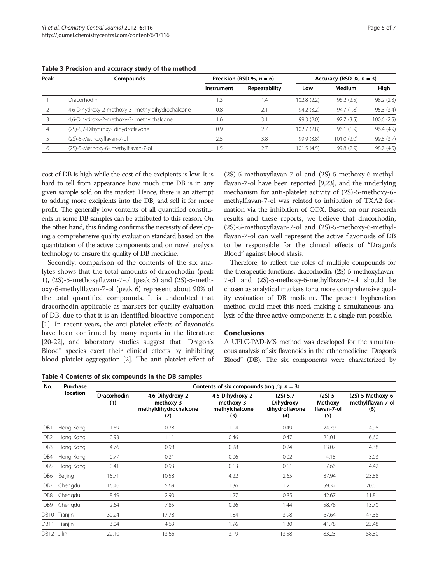| Peak | <b>Compounds</b>                                 | Precision (RSD %, $n = 6$ ) |               | Accuracy (RSD %, $n = 3$ ) |            |            |
|------|--------------------------------------------------|-----------------------------|---------------|----------------------------|------------|------------|
|      |                                                  | Instrument                  | Repeatability | Low                        | Medium     | High       |
|      | Dracorhodin                                      | 1.3                         | 1.4           | 102.8 (2.2)                | 96.2(2.5)  | 98.2(2.3)  |
|      | 4,6-Dihydroxy-2-methoxy-3- methyldihydrochalcone | 0.8                         | 2.1           | 94.2(3.2)                  | 94.7 (1.8) | 95.3 (3.4) |
|      | 4,6-Dihydroxy-2-methoxy-3- methylchalcone        | 1.6                         | 3.1           | 99.3(2.0)                  | 97.7(3.5)  | 100.6(2.5) |
| 4    | (2S)-5,7-Dihydroxy-dihydroflavone                | 0.9                         | 2.7           | 102.7 (2.8)                | 96.1(1.9)  | 96.4 (4.9) |
|      | (2S)-5-Methoxyflavan-7-ol                        | 2.5                         | 3.8           | 99.9 (3.8)                 | 101.0(2.0) | 99.8 (3.7) |
| 6    | (2S)-5-Methoxy-6- methylflavan-7-ol              | .5                          |               | 101.5(4.5)                 | 99.8(2.9)  | 98.7 (4.5) |

### Table 3 Precision and accuracy study of the method

cost of DB is high while the cost of the excipients is low. It is hard to tell from appearance how much true DB is in any given sample sold on the market. Hence, there is an attempt to adding more excipients into the DB, and sell it for more profit. The generally low contents of all quantified constituents in some DB samples can be attributed to this reason. On the other hand, this finding confirms the necessity of developing a comprehensive quality evaluation standard based on the quantitation of the active components and on novel analysis technology to ensure the quality of DB medicine.

Secondly, comparison of the contents of the six analytes shows that the total amounts of dracorhodin (peak 1), (2S)-5-methoxyflavan-7-ol (peak 5) and (2S)-5-methoxy-6-methylflavan-7-ol (peak 6) represent about 90% of the total quantified compounds. It is undoubted that dracorhodin applicable as markers for quality evaluation of DB, due to that it is an identified bioactive component [1]. In recent years, the anti-platelet effects of flavonoids have been confirmed by many reports in the literature [20-22], and laboratory studies suggest that "Dragon's Blood" species exert their clinical effects by inhibiting blood platelet aggregation [2]. The anti-platelet effect of

Table 4 Contents of six compounds in the DB samples

(2S)-5-methoxyflavan-7-ol and (2S)-5-methoxy-6-methylflavan-7-ol have been reported [9,23], and the underlying mechanism for anti-platelet activity of (2S)-5-methoxy-6 methylflavan-7-ol was related to inhibition of TXA2 formation via the inhibition of COX. Based on our research results and these reports, we believe that dracorhodin, (2S)-5-methoxyflavan-7-ol and (2S)-5-methoxy-6-methylflavan-7-ol can well represent the active flavonoids of DB to be responsible for the clinical effects of "Dragon's Blood" against blood stasis.

Therefore, to reflect the roles of multiple compounds for the therapeutic functions, dracorhodin, (2S)-5-methoxyflavan-7-ol and (2S)-5-methoxy-6-methylflavan-7-ol should be chosen as analytical markers for a more comprehensive quality evaluation of DB medicine. The present hyphenation method could meet this need, making a simultaneous analysis of the three active components in a single run possible.

## Conclusions

A UPLC-PAD-MS method was developed for the simultaneous analysis of six flavonoids in the ethnomedicine "Dragon's Blood" (DB). The six components were characterized by

| No.             | Purchase<br>location | Contents of six compounds (mg /q, $n = 3$ ) |                                                                |                                                         |                                                    |                                            |                                               |  |
|-----------------|----------------------|---------------------------------------------|----------------------------------------------------------------|---------------------------------------------------------|----------------------------------------------------|--------------------------------------------|-----------------------------------------------|--|
|                 |                      | <b>Dracorhodin</b><br>(1)                   | 4,6-Dihydroxy-2<br>-methoxy-3-<br>methyldihydrochalcone<br>(2) | 4,6-Dihydroxy-2-<br>methoxy-3-<br>methylchalcone<br>(3) | $(2S)-5,7-$<br>Dihydroxy-<br>dihydroflavone<br>(4) | $(2S)-5-$<br>Methoxy<br>flavan-7-ol<br>(5) | (2S)-5-Methoxy-6-<br>methylflavan-7-ol<br>(6) |  |
| DB1             | Hong Kong            | 1.69                                        | 0.78                                                           | 1.14                                                    | 0.49                                               | 24.79                                      | 4.98                                          |  |
| D <sub>B2</sub> | Hong Kong            | 0.93                                        | 1.11                                                           | 0.46                                                    | 0.47                                               | 21.01                                      | 6.60                                          |  |
| DB <sub>3</sub> | Hong Kong            | 4.76                                        | 0.98                                                           | 0.28                                                    | 0.24                                               | 13.07                                      | 4.38                                          |  |
| DB4             | Hong Kong            | 0.77                                        | 0.21                                                           | 0.06                                                    | 0.02                                               | 4.18                                       | 3.03                                          |  |
| DB <sub>5</sub> | Hong Kong            | 0.41                                        | 0.93                                                           | 0.13                                                    | 0.11                                               | 7.66                                       | 4.42                                          |  |
| DB <sub>6</sub> | Beijing              | 15.71                                       | 10.58                                                          | 4.22                                                    | 2.65                                               | 87.94                                      | 23.88                                         |  |
| DB7             | Chengdu              | 16.46                                       | 5.69                                                           | 1.36                                                    | 1.21                                               | 59.32                                      | 20.01                                         |  |
| DB <sub>8</sub> | Chengdu              | 8.49                                        | 2.90                                                           | 1.27                                                    | 0.85                                               | 42.67                                      | 11.81                                         |  |
| DB <sub>9</sub> | Chengdu              | 2.64                                        | 7.85                                                           | 0.26                                                    | 1.44                                               | 58.78                                      | 13.70                                         |  |
| DB10            | Tianjin              | 30.24                                       | 17.78                                                          | 1.84                                                    | 3.98                                               | 167.64                                     | 47.38                                         |  |
| <b>DB11</b>     | Tianjin              | 3.04                                        | 4.63                                                           | 1.96                                                    | 1.30                                               | 41.78                                      | 23.48                                         |  |
| DB12 Jilin      |                      | 22.10                                       | 13.66                                                          | 3.19                                                    | 13.58                                              | 83.23                                      | 58.80                                         |  |